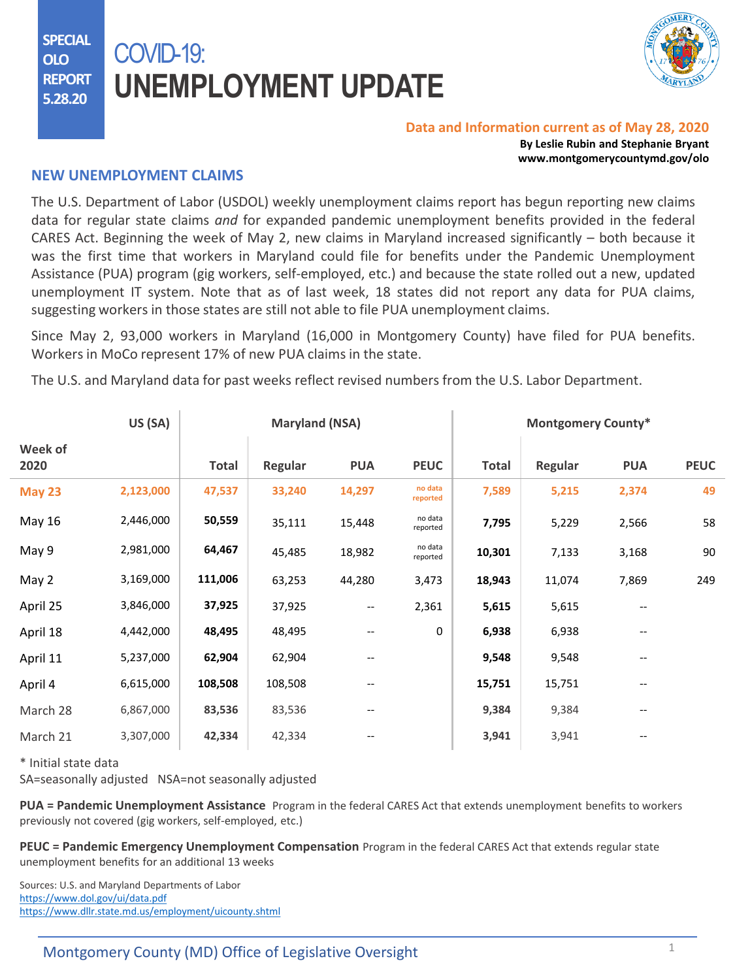**SPECIAL OLO REPORT 5.28.20**

# COVID-19: **UNEMPLOYMENT UPDATE**



### **Data and Information current as of May 28, 2020**

**By Leslie Rubin and Stephanie Bryant www.montgomerycountymd.gov/olo**

## **NEW UNEMPLOYMENT CLAIMS**

The U.S. Department of Labor (USDOL) weekly unemployment claims report has begun reporting new claims data for regular state claims *and* for expanded pandemic unemployment benefits provided in the federal CARES Act. Beginning the week of May 2, new claims in Maryland increased significantly – both because it was the first time that workers in Maryland could file for benefits under the Pandemic Unemployment Assistance (PUA) program (gig workers, self-employed, etc.) and because the state rolled out a new, updated unemployment IT system. Note that as of last week, 18 states did not report any data for PUA claims, suggesting workers in those states are still not able to file PUA unemployment claims.

Since May 2, 93,000 workers in Maryland (16,000 in Montgomery County) have filed for PUA benefits. Workers in MoCo represent 17% of new PUA claims in the state.

The U.S. and Maryland data for past weeks reflect revised numbers from the U.S. Labor Department.

|                 | US (SA)   | <b>Maryland (NSA)</b> |         |                          |                     | <b>Montgomery County*</b> |         |            |             |
|-----------------|-----------|-----------------------|---------|--------------------------|---------------------|---------------------------|---------|------------|-------------|
| Week of<br>2020 |           | <b>Total</b>          | Regular | <b>PUA</b>               | <b>PEUC</b>         | <b>Total</b>              | Regular | <b>PUA</b> | <b>PEUC</b> |
| <b>May 23</b>   | 2,123,000 | 47,537                | 33,240  | 14,297                   | no data<br>reported | 7,589                     | 5,215   | 2,374      | 49          |
| May 16          | 2,446,000 | 50,559                | 35,111  | 15,448                   | no data<br>reported | 7,795                     | 5,229   | 2,566      | 58          |
| May 9           | 2,981,000 | 64,467                | 45,485  | 18,982                   | no data<br>reported | 10,301                    | 7,133   | 3,168      | 90          |
| May 2           | 3,169,000 | 111,006               | 63,253  | 44,280                   | 3,473               | 18,943                    | 11,074  | 7,869      | 249         |
| April 25        | 3,846,000 | 37,925                | 37,925  | $\overline{\phantom{m}}$ | 2,361               | 5,615                     | 5,615   | $-$        |             |
| April 18        | 4,442,000 | 48,495                | 48,495  |                          | 0                   | 6,938                     | 6,938   | --         |             |
| April 11        | 5,237,000 | 62,904                | 62,904  | --                       |                     | 9,548                     | 9,548   | --         |             |
| April 4         | 6,615,000 | 108,508               | 108,508 | --                       |                     | 15,751                    | 15,751  | --         |             |
| March 28        | 6,867,000 | 83,536                | 83,536  | --                       |                     | 9,384                     | 9,384   | --         |             |
| March 21        | 3,307,000 | 42,334                | 42,334  |                          |                     | 3,941                     | 3,941   | --         |             |

\* Initial state data

SA=seasonally adjusted NSA=not seasonally adjusted

**PUA = Pandemic Unemployment Assistance** Program in the federal CARES Act that extends unemployment benefits to workers previously not covered (gig workers, self-employed, etc.)

**PEUC = Pandemic Emergency Unemployment Compensation** Program in the federal CARES Act that extends regular state unemployment benefits for an additional 13 weeks

Sources: U.S. and Maryland Departments of Labor <https://www.dol.gov/ui/data.pdf> <https://www.dllr.state.md.us/employment/uicounty.shtml>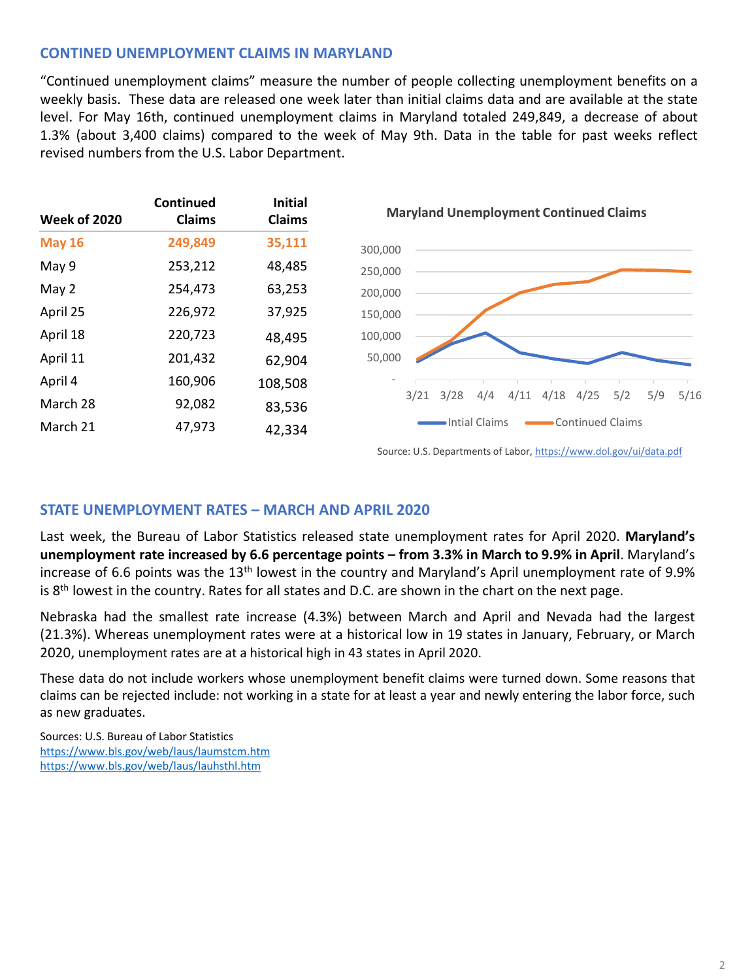# **CONTINED UNEMPLOYMENT CLAIMS IN MARYLAND**

"Continued unemployment claims" measure the number of people collecting unemployment benefits on a weekly basis. These data are released one week later than initial claims data and are available at the state level. For May 16th, continued unemployment claims in Maryland totaled 249,849, a decrease of about 1.3% (about 3,400 claims) compared to the week of May 9th. Data in the table for past weeks reflect revised numbers from the U.S. Labor Department.



## **STATE UNEMPLOYMENT RATES – MARCH AND APRIL 2020**

Last week, the Bureau of Labor Statistics released state unemployment rates for April 2020. **Maryland's unemployment rate increased by 6.6 percentage points – from 3.3% in March to 9.9% in April**. Maryland's increase of 6.6 points was the 13th lowest in the country and Maryland's April unemployment rate of 9.9% is 8<sup>th</sup> lowest in the country. Rates for all states and D.C. are shown in the chart on the next page.

Nebraska had the smallest rate increase (4.3%) between March and April and Nevada had the largest (21.3%). Whereas unemployment rates were at a historical low in 19 states in January, February, or March 2020, unemployment rates are at a historical high in 43 states in April 2020.

These data do not include workers whose unemployment benefit claims were turned down. Some reasons that claims can be [rejected](https://www.dllr.state.md.us/employment/clmtguide/uiclmtpamphlet.pdf) include: not working in a state for at least a year and newly entering the labor force, such as new graduates.

Sources: U.S. Bureau of Labor Statistics <https://www.bls.gov/web/laus/laumstcm.htm> <https://www.bls.gov/web/laus/lauhsthl.htm>